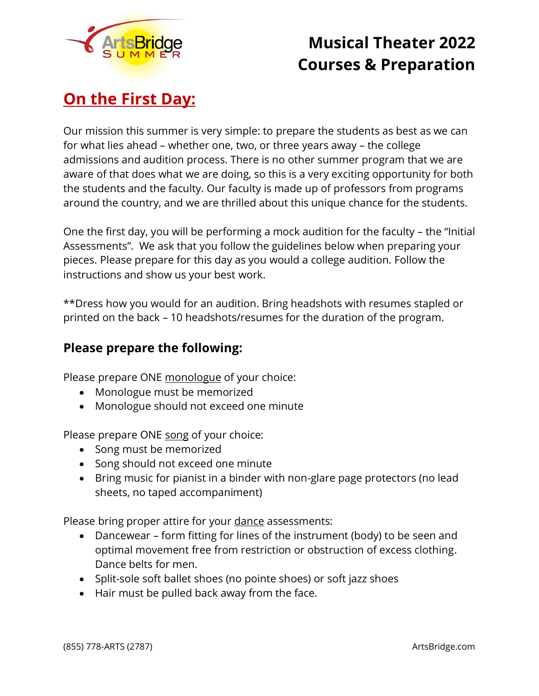

# **On the First Day:**

Our mission this summer is very simple: to prepare the students as best as we can for what lies ahead – whether one, two, or three years away – the college admissions and audition process. There is no other summer program that we are aware of that does what we are doing, so this is a very exciting opportunity for both the students and the faculty. Our faculty is made up of professors from programs around the country, and we are thrilled about this unique chance for the students.

One the first day, you will be performing a mock audition for the faculty – the "Initial Assessments". We ask that you follow the guidelines below when preparing your pieces. Please prepare for this day as you would a college audition. Follow the instructions and show us your best work.

\*\*Dress how you would for an audition. Bring headshots with resumes stapled or printed on the back – 10 headshots/resumes for the duration of the program.

## **Please prepare the following:**

Please prepare ONE monologue of your choice:

- Monologue must be memorized
- Monologue should not exceed one minute

Please prepare ONE song of your choice:

- Song must be memorized
- Song should not exceed one minute
- Bring music for pianist in a binder with non-glare page protectors (no lead sheets, no taped accompaniment)

Please bring proper attire for your dance assessments:

- Dancewear form fitting for lines of the instrument (body) to be seen and optimal movement free from restriction or obstruction of excess clothing. Dance belts for men.
- Split-sole soft ballet shoes (no pointe shoes) or soft jazz shoes
- Hair must be pulled back away from the face.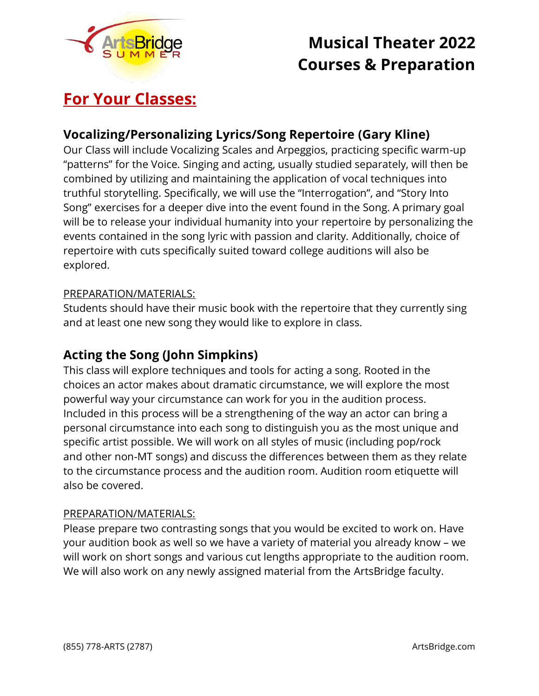

# **For Your Classes:**

## **Vocalizing/Personalizing Lyrics/Song Repertoire (Gary Kline)**

Our Class will include Vocalizing Scales and Arpeggios, practicing specific warm-up "patterns" for the Voice. Singing and acting, usually studied separately, will then be combined by utilizing and maintaining the application of vocal techniques into truthful storytelling. Specifically, we will use the "Interrogation", and "Story Into Song" exercises for a deeper dive into the event found in the Song. A primary goal will be to release your individual humanity into your repertoire by personalizing the events contained in the song lyric with passion and clarity. Additionally, choice of repertoire with cuts specifically suited toward college auditions will also be explored.

### PREPARATION/MATERIALS:

Students should have their music book with the repertoire that they currently sing and at least one new song they would like to explore in class.

### **Acting the Song (John Simpkins)**

This class will explore techniques and tools for acting a song. Rooted in the choices an actor makes about dramatic circumstance, we will explore the most powerful way your circumstance can work for you in the audition process. Included in this process will be a strengthening of the way an actor can bring a personal circumstance into each song to distinguish you as the most unique and specific artist possible. We will work on all styles of music (including pop/rock and other non-MT songs) and discuss the differences between them as they relate to the circumstance process and the audition room. Audition room etiquette will also be covered.

### PREPARATION/MATERIALS:

Please prepare two contrasting songs that you would be excited to work on. Have your audition book as well so we have a variety of material you already know – we will work on short songs and various cut lengths appropriate to the audition room. We will also work on any newly assigned material from the ArtsBridge faculty.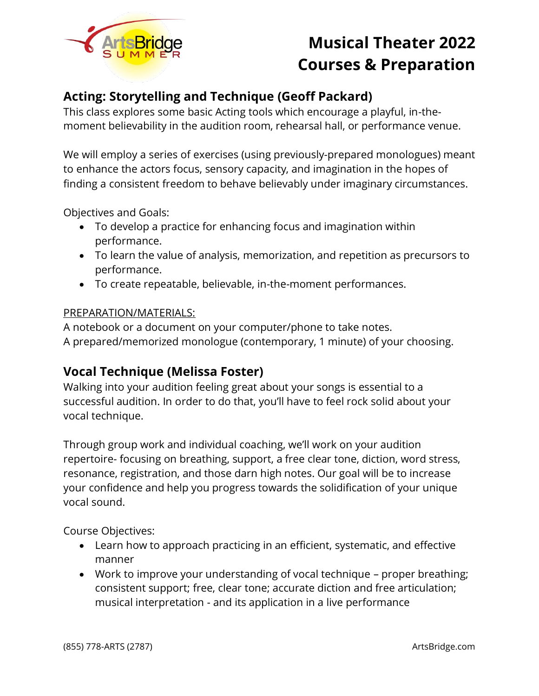

## **Acting: Storytelling and Technique (Geoff Packard)**

This class explores some basic Acting tools which encourage a playful, in-themoment believability in the audition room, rehearsal hall, or performance venue.

We will employ a series of exercises (using previously-prepared monologues) meant to enhance the actors focus, sensory capacity, and imagination in the hopes of finding a consistent freedom to behave believably under imaginary circumstances.

Objectives and Goals:

- To develop a practice for enhancing focus and imagination within performance.
- To learn the value of analysis, memorization, and repetition as precursors to performance.
- To create repeatable, believable, in-the-moment performances.

#### PREPARATION/MATERIALS:

A notebook or a document on your computer/phone to take notes. A prepared/memorized monologue (contemporary, 1 minute) of your choosing.

### **Vocal Technique (Melissa Foster)**

Walking into your audition feeling great about your songs is essential to a successful audition. In order to do that, you'll have to feel rock solid about your vocal technique.

Through group work and individual coaching, we'll work on your audition repertoire- focusing on breathing, support, a free clear tone, diction, word stress, resonance, registration, and those darn high notes. Our goal will be to increase your confidence and help you progress towards the solidification of your unique vocal sound.

Course Objectives:

- Learn how to approach practicing in an efficient, systematic, and effective manner
- Work to improve your understanding of vocal technique proper breathing; consistent support; free, clear tone; accurate diction and free articulation; musical interpretation - and its application in a live performance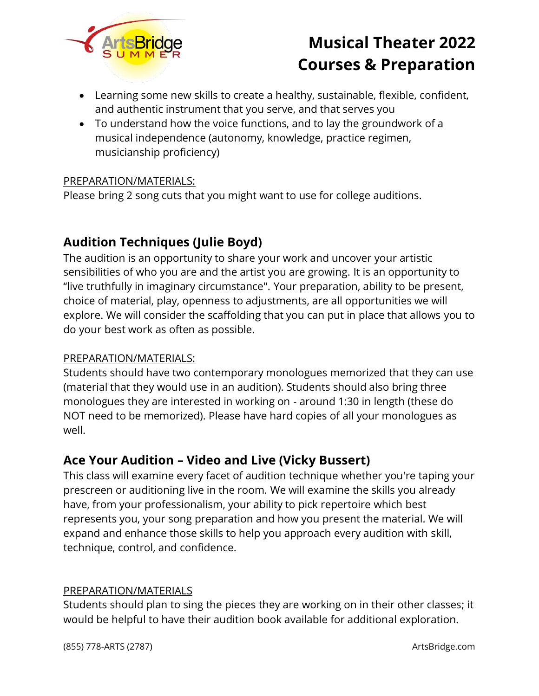

- Learning some new skills to create a healthy, sustainable, flexible, confident, and authentic instrument that you serve, and that serves you
- To understand how the voice functions, and to lay the groundwork of a musical independence (autonomy, knowledge, practice regimen, musicianship proficiency)

### PREPARATION/MATERIALS:

Please bring 2 song cuts that you might want to use for college auditions.

## **Audition Techniques (Julie Boyd)**

The audition is an opportunity to share your work and uncover your artistic sensibilities of who you are and the artist you are growing. It is an opportunity to "live truthfully in imaginary circumstance". Your preparation, ability to be present, choice of material, play, openness to adjustments, are all opportunities we will explore. We will consider the scaffolding that you can put in place that allows you to do your best work as often as possible.

### PREPARATION/MATERIALS:

Students should have two contemporary monologues memorized that they can use (material that they would use in an audition). Students should also bring three monologues they are interested in working on - around 1:30 in length (these do NOT need to be memorized). Please have hard copies of all your monologues as well.

### **Ace Your Audition – Video and Live (Vicky Bussert)**

This class will examine every facet of audition technique whether you're taping your prescreen or auditioning live in the room. We will examine the skills you already have, from your professionalism, your ability to pick repertoire which best represents you, your song preparation and how you present the material. We will expand and enhance those skills to help you approach every audition with skill, technique, control, and confidence.

### PREPARATION/MATERIALS

Students should plan to sing the pieces they are working on in their other classes; it would be helpful to have their audition book available for additional exploration.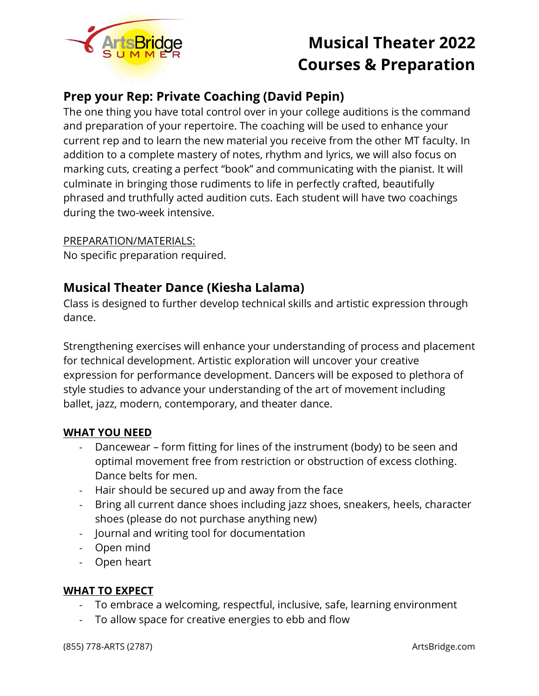

## **Prep your Rep: Private Coaching (David Pepin)**

The one thing you have total control over in your college auditions is the command and preparation of your repertoire. The coaching will be used to enhance your current rep and to learn the new material you receive from the other MT faculty. In addition to a complete mastery of notes, rhythm and lyrics, we will also focus on marking cuts, creating a perfect "book" and communicating with the pianist. It will culminate in bringing those rudiments to life in perfectly crafted, beautifully phrased and truthfully acted audition cuts. Each student will have two coachings during the two-week intensive.

### PREPARATION/MATERIALS:

No specific preparation required.

## **Musical Theater Dance (Kiesha Lalama)**

Class is designed to further develop technical skills and artistic expression through dance.

Strengthening exercises will enhance your understanding of process and placement for technical development. Artistic exploration will uncover your creative expression for performance development. Dancers will be exposed to plethora of style studies to advance your understanding of the art of movement including ballet, jazz, modern, contemporary, and theater dance.

### **WHAT YOU NEED**

- Dancewear form fitting for lines of the instrument (body) to be seen and optimal movement free from restriction or obstruction of excess clothing. Dance belts for men.
- Hair should be secured up and away from the face
- Bring all current dance shoes including jazz shoes, sneakers, heels, character shoes (please do not purchase anything new)
- Journal and writing tool for documentation
- Open mind
- Open heart

### **WHAT TO EXPECT**

- To embrace a welcoming, respectful, inclusive, safe, learning environment
- To allow space for creative energies to ebb and flow